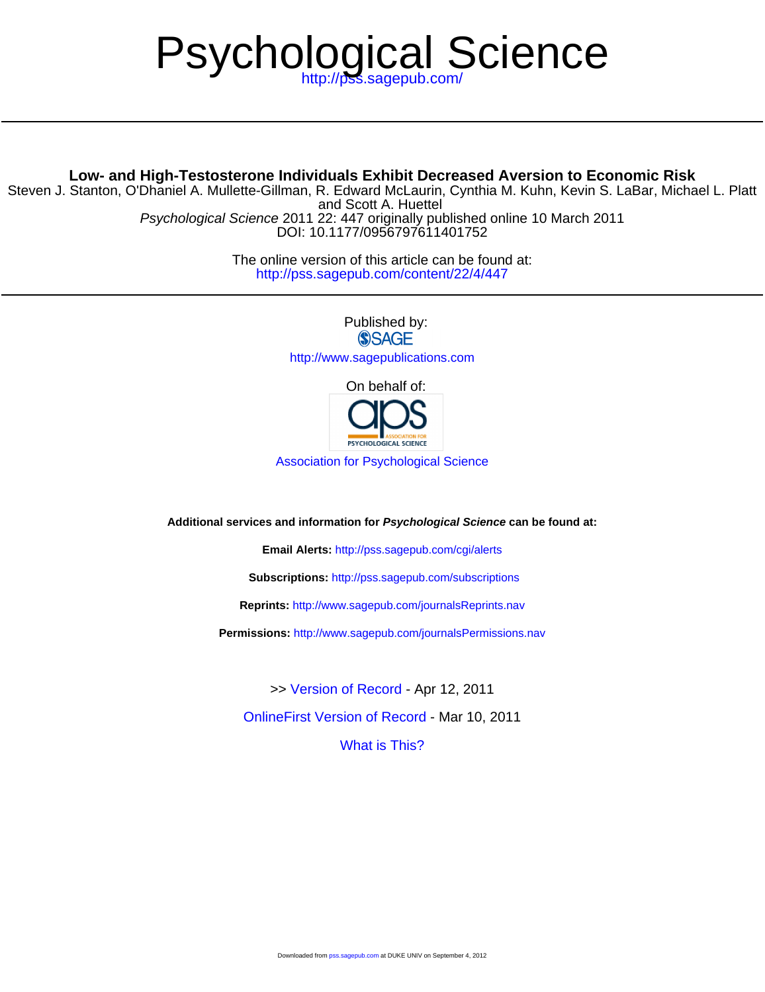# Psychological Science

# **Low- and High-Testosterone Individuals Exhibit Decreased Aversion to Economic Risk**

and Scott A. Huettel Steven J. Stanton, O'Dhaniel A. Mullette-Gillman, R. Edward McLaurin, Cynthia M. Kuhn, Kevin S. LaBar, Michael L. Platt

DOI: 10.1177/0956797611401752 Psychological Science 2011 22: 447 originally published online 10 March 2011

> <http://pss.sagepub.com/content/22/4/447> The online version of this article can be found at:

> > Published by: **SSAGE** <http://www.sagepublications.com>

> > > On behalf of:



[Association for Psychological Science](http://www.psychologicalscience.org/)

**Additional services and information for Psychological Science can be found at:**

**Email Alerts:** <http://pss.sagepub.com/cgi/alerts>

**Subscriptions:** <http://pss.sagepub.com/subscriptions>

**Reprints:** <http://www.sagepub.com/journalsReprints.nav>

**Permissions:** <http://www.sagepub.com/journalsPermissions.nav>

>> [Version of Record -](http://pss.sagepub.com/content/22/4/447.full.pdf) Apr 12, 2011

[OnlineFirst Version of Record](http://pss.sagepub.com/content/early/2011/03/10/0956797611401752.full.pdf) - Mar 10, 2011

[What is This?](http://online.sagepub.com/site/sphelp/vorhelp.xhtml)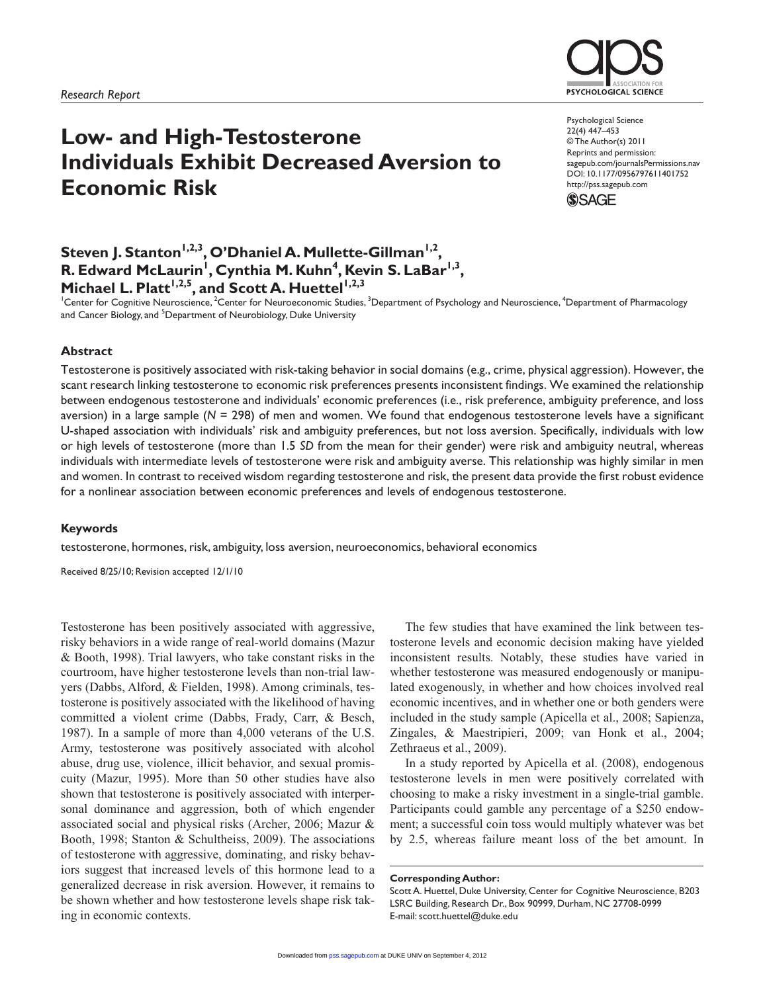

**PSYCHOLOGICAL SCIENCE** 

Psychological Science 22(4) 447–453 © The Author(s) 2011 Reprints and permission: sagepub.com/journalsPermissions.nav DOI: 10.1177/0956797611401752 http://pss.sagepub.com



Steven J. Stanton<sup>1,2,3</sup>, O'Dhaniel A. Mullette-Gillman<sup>1,2</sup>, R. Edward McLaurin<sup>1</sup>, Cynthia M. Kuhn<sup>4</sup>, Kevin S. LaBar<sup>1,3</sup>, Michael L. Platt<sup>1,2,5</sup>, and Scott A. Huettel<sup>1,2,3</sup>

<sup>1</sup>Center for Cognitive Neuroscience, <sup>2</sup>Center for Neuroeconomic Studies, <sup>3</sup>Department of Psychology and Neuroscience, <sup>4</sup>Department of Pharmacology and Cancer Biology, and <sup>5</sup>Department of Neurobiology, Duke University

#### **Abstract**

Testosterone is positively associated with risk-taking behavior in social domains (e.g., crime, physical aggression). However, the scant research linking testosterone to economic risk preferences presents inconsistent findings. We examined the relationship between endogenous testosterone and individuals' economic preferences (i.e., risk preference, ambiguity preference, and loss aversion) in a large sample (*N* = 298) of men and women. We found that endogenous testosterone levels have a significant U-shaped association with individuals' risk and ambiguity preferences, but not loss aversion. Specifically, individuals with low or high levels of testosterone (more than 1.5 *SD* from the mean for their gender) were risk and ambiguity neutral, whereas individuals with intermediate levels of testosterone were risk and ambiguity averse. This relationship was highly similar in men and women. In contrast to received wisdom regarding testosterone and risk, the present data provide the first robust evidence for a nonlinear association between economic preferences and levels of endogenous testosterone.

#### **Keywords**

testosterone, hormones, risk, ambiguity, loss aversion, neuroeconomics, behavioral economics

Received 8/25/10; Revision accepted 12/1/10

Testosterone has been positively associated with aggressive, risky behaviors in a wide range of real-world domains (Mazur & Booth, 1998). Trial lawyers, who take constant risks in the courtroom, have higher testosterone levels than non-trial lawyers (Dabbs, Alford, & Fielden, 1998). Among criminals, testosterone is positively associated with the likelihood of having committed a violent crime (Dabbs, Frady, Carr, & Besch, 1987). In a sample of more than 4,000 veterans of the U.S. Army, testosterone was positively associated with alcohol abuse, drug use, violence, illicit behavior, and sexual promiscuity (Mazur, 1995). More than 50 other studies have also shown that testosterone is positively associated with interpersonal dominance and aggression, both of which engender associated social and physical risks (Archer, 2006; Mazur & Booth, 1998; Stanton & Schultheiss, 2009). The associations of testosterone with aggressive, dominating, and risky behaviors suggest that increased levels of this hormone lead to a generalized decrease in risk aversion. However, it remains to be shown whether and how testosterone levels shape risk taking in economic contexts.

The few studies that have examined the link between testosterone levels and economic decision making have yielded inconsistent results. Notably, these studies have varied in whether testosterone was measured endogenously or manipulated exogenously, in whether and how choices involved real economic incentives, and in whether one or both genders were included in the study sample (Apicella et al., 2008; Sapienza, Zingales, & Maestripieri, 2009; van Honk et al., 2004; Zethraeus et al., 2009).

In a study reported by Apicella et al. (2008), endogenous testosterone levels in men were positively correlated with choosing to make a risky investment in a single-trial gamble. Participants could gamble any percentage of a \$250 endowment; a successful coin toss would multiply whatever was bet by 2.5, whereas failure meant loss of the bet amount. In

**Corresponding Author:**

Scott A. Huettel, Duke University, Center for Cognitive Neuroscience, B203 LSRC Building, Research Dr., Box 90999, Durham, NC 27708-0999 E-mail: scott.huettel@duke.edu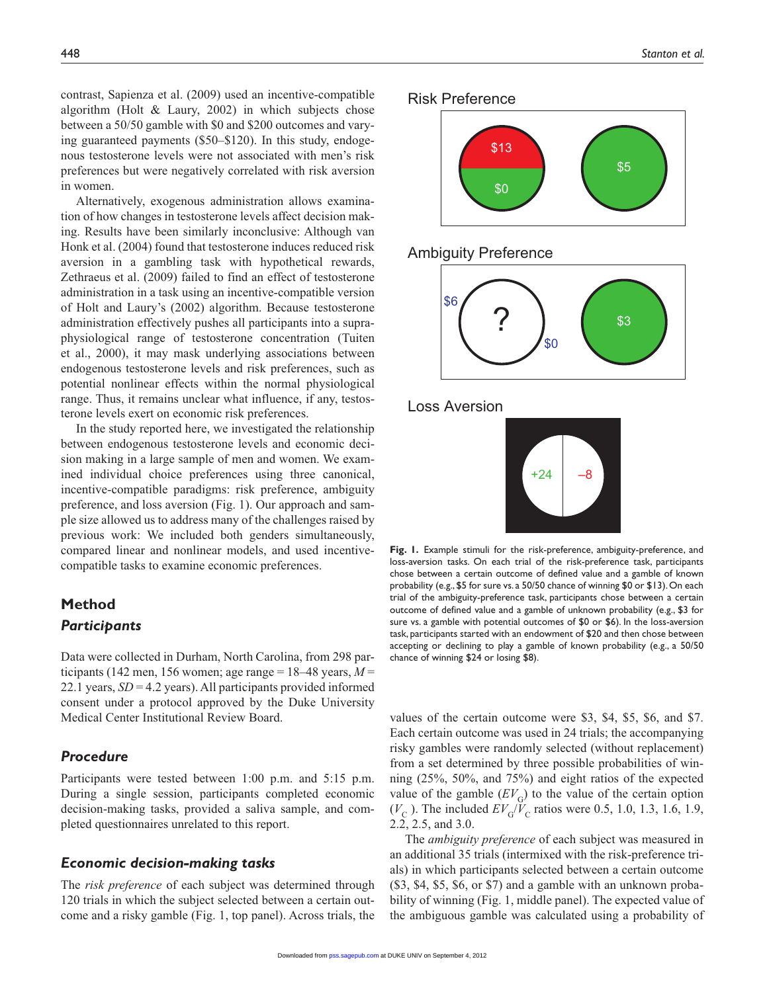contrast, Sapienza et al. (2009) used an incentive-compatible algorithm (Holt & Laury, 2002) in which subjects chose between a 50/50 gamble with \$0 and \$200 outcomes and varying guaranteed payments (\$50–\$120). In this study, endogenous testosterone levels were not associated with men's risk preferences but were negatively correlated with risk aversion in women.

Alternatively, exogenous administration allows examination of how changes in testosterone levels affect decision making. Results have been similarly inconclusive: Although van Honk et al. (2004) found that testosterone induces reduced risk aversion in a gambling task with hypothetical rewards, Zethraeus et al. (2009) failed to find an effect of testosterone administration in a task using an incentive-compatible version of Holt and Laury's (2002) algorithm. Because testosterone administration effectively pushes all participants into a supraphysiological range of testosterone concentration (Tuiten et al., 2000), it may mask underlying associations between endogenous testosterone levels and risk preferences, such as potential nonlinear effects within the normal physiological range. Thus, it remains unclear what influence, if any, testosterone levels exert on economic risk preferences.

In the study reported here, we investigated the relationship between endogenous testosterone levels and economic decision making in a large sample of men and women. We examined individual choice preferences using three canonical, incentive-compatible paradigms: risk preference, ambiguity preference, and loss aversion (Fig. 1). Our approach and sample size allowed us to address many of the challenges raised by previous work: We included both genders simultaneously, compared linear and nonlinear models, and used incentivecompatible tasks to examine economic preferences.

# **Method**

## *Participants*

Data were collected in Durham, North Carolina, from 298 participants (142 men, 156 women; age range =  $18-48$  years,  $M =$ 22.1 years, *SD* = 4.2 years). All participants provided informed consent under a protocol approved by the Duke University Medical Center Institutional Review Board.

## *Procedure*

Participants were tested between 1:00 p.m. and 5:15 p.m. During a single session, participants completed economic decision-making tasks, provided a saliva sample, and completed questionnaires unrelated to this report.

## *Economic decision-making tasks*

The *risk preference* of each subject was determined through 120 trials in which the subject selected between a certain outcome and a risky gamble (Fig. 1, top panel). Across trials, the







Loss Aversion



**Fig. 1.** Example stimuli for the risk-preference, ambiguity-preference, and loss-aversion tasks. On each trial of the risk-preference task, participants chose between a certain outcome of defined value and a gamble of known probability (e.g., \$5 for sure vs. a 50/50 chance of winning \$0 or \$13). On each trial of the ambiguity-preference task, participants chose between a certain outcome of defined value and a gamble of unknown probability (e.g., \$3 for sure vs. a gamble with potential outcomes of \$0 or \$6). In the loss-aversion task, participants started with an endowment of \$20 and then chose between accepting or declining to play a gamble of known probability (e.g., a 50/50 chance of winning \$24 or losing \$8).

values of the certain outcome were \$3, \$4, \$5, \$6, and \$7. Each certain outcome was used in 24 trials; the accompanying risky gambles were randomly selected (without replacement) from a set determined by three possible probabilities of winning (25%, 50%, and 75%) and eight ratios of the expected value of the gamble  $(EV_G)$  to the value of the certain option  $(V_{\rm C})$ . The included  $EV_{\rm G}/V_{\rm C}$  ratios were 0.5, 1.0, 1.3, 1.6, 1.9, 2.2, 2.5, and 3.0.

The *ambiguity preference* of each subject was measured in an additional 35 trials (intermixed with the risk-preference trials) in which participants selected between a certain outcome (\$3, \$4, \$5, \$6, or \$7) and a gamble with an unknown probability of winning (Fig. 1, middle panel). The expected value of the ambiguous gamble was calculated using a probability of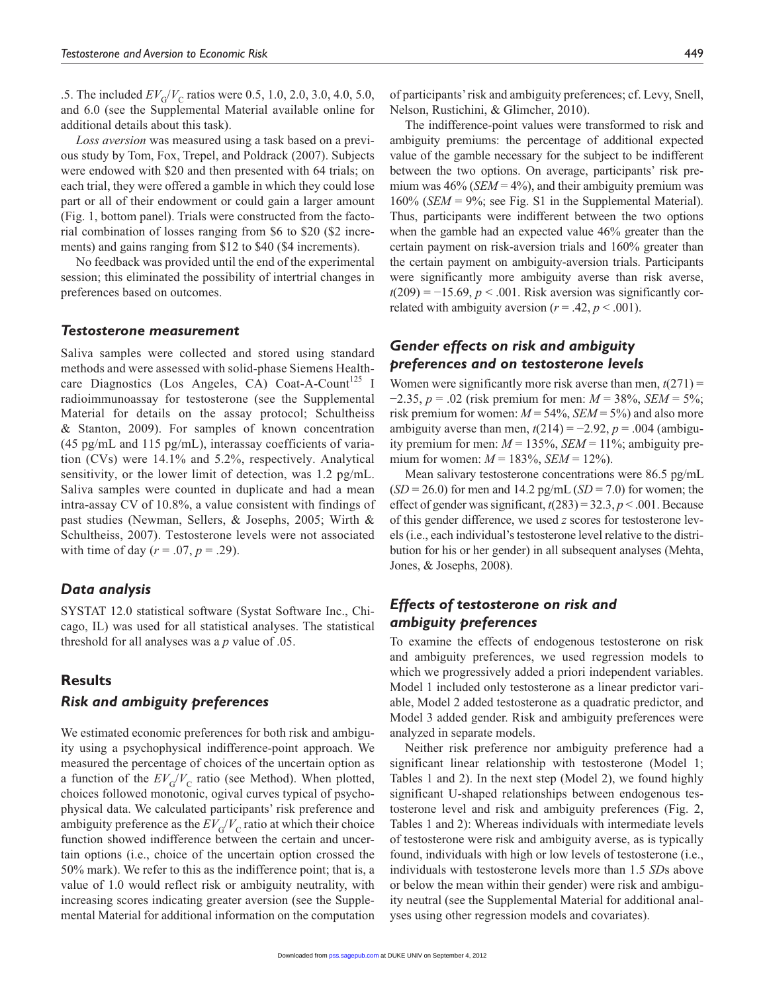.5. The included  $EV_G/V_C$  ratios were 0.5, 1.0, 2.0, 3.0, 4.0, 5.0, and 6.0 (see the Supplemental Material available online for additional details about this task).

*Loss aversion* was measured using a task based on a previous study by Tom, Fox, Trepel, and Poldrack (2007). Subjects were endowed with \$20 and then presented with 64 trials; on each trial, they were offered a gamble in which they could lose part or all of their endowment or could gain a larger amount (Fig. 1, bottom panel). Trials were constructed from the factorial combination of losses ranging from \$6 to \$20 (\$2 increments) and gains ranging from \$12 to \$40 (\$4 increments).

No feedback was provided until the end of the experimental session; this eliminated the possibility of intertrial changes in preferences based on outcomes.

## *Testosterone measurement*

Saliva samples were collected and stored using standard methods and were assessed with solid-phase Siemens Healthcare Diagnostics (Los Angeles, CA) Coat-A-Count<sup>125</sup> I radioimmunoassay for testosterone (see the Supplemental Material for details on the assay protocol; Schultheiss & Stanton, 2009). For samples of known concentration (45 pg/mL and 115 pg/mL), interassay coefficients of variation (CVs) were 14.1% and 5.2%, respectively. Analytical sensitivity, or the lower limit of detection, was 1.2 pg/mL. Saliva samples were counted in duplicate and had a mean intra-assay CV of 10.8%, a value consistent with findings of past studies (Newman, Sellers, & Josephs, 2005; Wirth & Schultheiss, 2007). Testosterone levels were not associated with time of day ( $r = .07$ ,  $p = .29$ ).

## *Data analysis*

SYSTAT 12.0 statistical software (Systat Software Inc., Chicago, IL) was used for all statistical analyses. The statistical threshold for all analyses was a *p* value of .05.

## **Results**

## *Risk and ambiguity preferences*

We estimated economic preferences for both risk and ambiguity using a psychophysical indifference-point approach. We measured the percentage of choices of the uncertain option as a function of the  $EV_G/V_C$  ratio (see Method). When plotted, choices followed monotonic, ogival curves typical of psychophysical data. We calculated participants' risk preference and ambiguity preference as the  $EV_G/V_C$  ratio at which their choice function showed indifference between the certain and uncertain options (i.e., choice of the uncertain option crossed the 50% mark). We refer to this as the indifference point; that is, a value of 1.0 would reflect risk or ambiguity neutrality, with increasing scores indicating greater aversion (see the Supplemental Material for additional information on the computation

of participants' risk and ambiguity preferences; cf. Levy, Snell, Nelson, Rustichini, & Glimcher, 2010).

The indifference-point values were transformed to risk and ambiguity premiums: the percentage of additional expected value of the gamble necessary for the subject to be indifferent between the two options. On average, participants' risk premium was  $46\%$  (*SEM* =  $4\%$ ), and their ambiguity premium was 160% (*SEM* = 9%; see Fig. S1 in the Supplemental Material). Thus, participants were indifferent between the two options when the gamble had an expected value 46% greater than the certain payment on risk-aversion trials and 160% greater than the certain payment on ambiguity-aversion trials. Participants were significantly more ambiguity averse than risk averse,  $t(209) = -15.69$ ,  $p < .001$ . Risk aversion was significantly correlated with ambiguity aversion  $(r = .42, p < .001)$ .

## *Gender effects on risk and ambiguity preferences and on testosterone levels*

Women were significantly more risk averse than men,  $t(271) =$ −2.35, *p* = .02 (risk premium for men: *M* = 38%, *SEM* = 5%; risk premium for women:  $M = 54\%$ , *SEM* = 5%) and also more ambiguity averse than men,  $t(214) = -2.92$ ,  $p = .004$  (ambiguity premium for men: *M* = 135%, *SEM* = 11%; ambiguity premium for women:  $M = 183\%$ , *SEM* = 12%).

Mean salivary testosterone concentrations were 86.5 pg/mL (*SD* = 26.0) for men and 14.2 pg/mL (*SD* = 7.0) for women; the effect of gender was significant,  $t(283) = 32.3$ ,  $p < .001$ . Because of this gender difference, we used *z* scores for testosterone levels (i.e., each individual's testosterone level relative to the distribution for his or her gender) in all subsequent analyses (Mehta, Jones, & Josephs, 2008).

## *Effects of testosterone on risk and ambiguity preferences*

To examine the effects of endogenous testosterone on risk and ambiguity preferences, we used regression models to which we progressively added a priori independent variables. Model 1 included only testosterone as a linear predictor variable, Model 2 added testosterone as a quadratic predictor, and Model 3 added gender. Risk and ambiguity preferences were analyzed in separate models.

Neither risk preference nor ambiguity preference had a significant linear relationship with testosterone (Model 1; Tables 1 and 2). In the next step (Model 2), we found highly significant U-shaped relationships between endogenous testosterone level and risk and ambiguity preferences (Fig. 2, Tables 1 and 2): Whereas individuals with intermediate levels of testosterone were risk and ambiguity averse, as is typically found, individuals with high or low levels of testosterone (i.e., individuals with testosterone levels more than 1.5 *SD*s above or below the mean within their gender) were risk and ambiguity neutral (see the Supplemental Material for additional analyses using other regression models and covariates).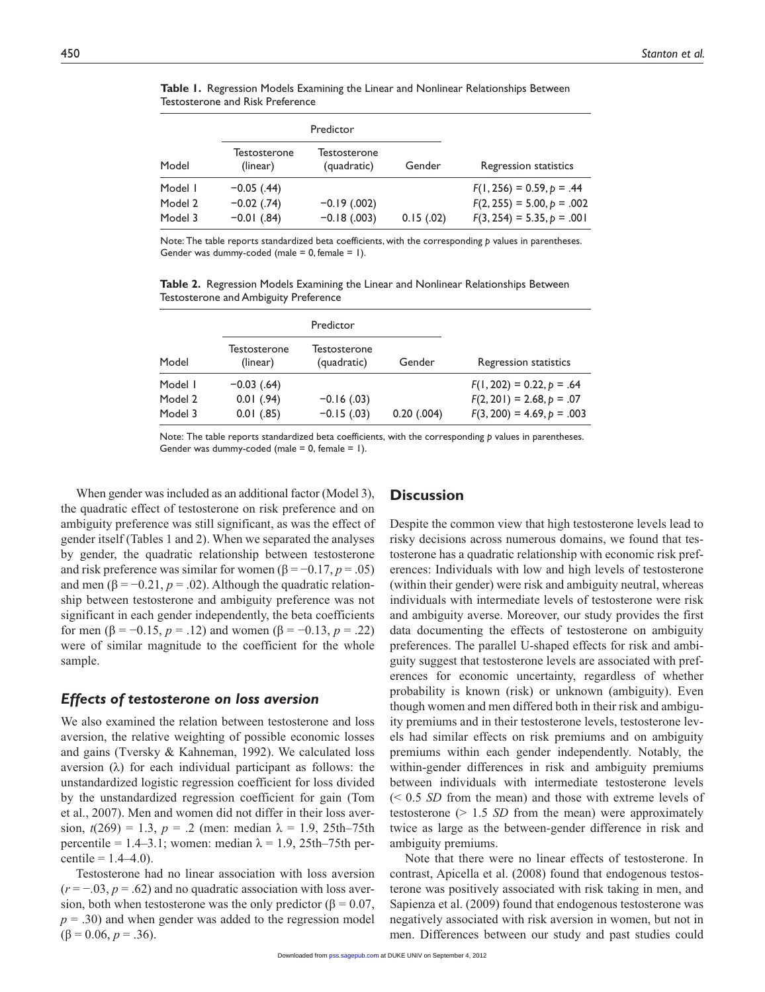| Model   | Predictor                |                             |           |                              |
|---------|--------------------------|-----------------------------|-----------|------------------------------|
|         | Testosterone<br>(linear) | Testosterone<br>(quadratic) | Gender    | Regression statistics        |
| Model I | $-0.05$ (.44)            |                             |           | $F(1, 256) = 0.59, p = .44$  |
| Model 2 | $-0.02$ (.74)            | $-0.19(0.002)$              |           | $F(2, 255) = 5.00, p = .002$ |
| Model 3 | $-0.01$ (.84)            | $-0.18$ (.003)              | 0.15(.02) | $F(3, 254) = 5.35, p = .001$ |

**Table 1.** Regression Models Examining the Linear and Nonlinear Relationships Between Testosterone and Risk Preference

Note: The table reports standardized beta coefficients, with the corresponding *p* values in parentheses. Gender was dummy-coded (male =  $0$ , female =  $1$ ).

**Table 2.** Regression Models Examining the Linear and Nonlinear Relationships Between Testosterone and Ambiguity Preference

|         | Predictor                |                             |                 |                              |
|---------|--------------------------|-----------------------------|-----------------|------------------------------|
| Model   | Testosterone<br>(linear) | Testosterone<br>(quadratic) | Gender          | Regression statistics        |
| Model I | $-0.03$ (.64)            |                             |                 | $F(1, 202) = 0.22, p = .64$  |
| Model 2 | $0.01$ (.94)             | $-0.16(0.03)$               |                 | $F(2, 201) = 2.68, p = .07$  |
| Model 3 | $0.01$ (.85)             | $-0.15$ (.03)               | $0.20$ $(.004)$ | $F(3, 200) = 4.69, p = .003$ |

Note: The table reports standardized beta coefficients, with the corresponding *p* values in parentheses. Gender was dummy-coded (male =  $0$ , female =  $1$ ).

When gender was included as an additional factor (Model 3), the quadratic effect of testosterone on risk preference and on ambiguity preference was still significant, as was the effect of gender itself (Tables 1 and 2). When we separated the analyses by gender, the quadratic relationship between testosterone and risk preference was similar for women ( $\beta = -0.17, p = .05$ ) and men ( $\beta$  = -0.21,  $p$  = .02). Although the quadratic relationship between testosterone and ambiguity preference was not significant in each gender independently, the beta coefficients for men (β = −0.15, *p* = .12) and women (β = −0.13, *p* = .22) were of similar magnitude to the coefficient for the whole sample.

#### *Effects of testosterone on loss aversion*

We also examined the relation between testosterone and loss aversion, the relative weighting of possible economic losses and gains (Tversky & Kahneman, 1992). We calculated loss aversion (λ) for each individual participant as follows: the unstandardized logistic regression coefficient for loss divided by the unstandardized regression coefficient for gain (Tom et al., 2007). Men and women did not differ in their loss aversion,  $t(269) = 1.3$ ,  $p = .2$  (men: median  $\lambda = 1.9$ , 25th–75th percentile = 1.4–3.1; women: median  $\lambda$  = 1.9, 25th–75th percentile =  $1.4-4.0$ ).

Testosterone had no linear association with loss aversion  $(r = -0.03, p = 0.62)$  and no quadratic association with loss aversion, both when testosterone was the only predictor ( $\beta = 0.07$ , *p* = .30) and when gender was added to the regression model  $(\beta = 0.06, p = .36).$ 

#### **Discussion**

Despite the common view that high testosterone levels lead to risky decisions across numerous domains, we found that testosterone has a quadratic relationship with economic risk preferences: Individuals with low and high levels of testosterone (within their gender) were risk and ambiguity neutral, whereas individuals with intermediate levels of testosterone were risk and ambiguity averse. Moreover, our study provides the first data documenting the effects of testosterone on ambiguity preferences. The parallel U-shaped effects for risk and ambiguity suggest that testosterone levels are associated with preferences for economic uncertainty, regardless of whether probability is known (risk) or unknown (ambiguity). Even though women and men differed both in their risk and ambiguity premiums and in their testosterone levels, testosterone levels had similar effects on risk premiums and on ambiguity premiums within each gender independently. Notably, the within-gender differences in risk and ambiguity premiums between individuals with intermediate testosterone levels (< 0.5 *SD* from the mean) and those with extreme levels of testosterone (> 1.5 *SD* from the mean) were approximately twice as large as the between-gender difference in risk and ambiguity premiums.

Note that there were no linear effects of testosterone. In contrast, Apicella et al. (2008) found that endogenous testosterone was positively associated with risk taking in men, and Sapienza et al. (2009) found that endogenous testosterone was negatively associated with risk aversion in women, but not in men. Differences between our study and past studies could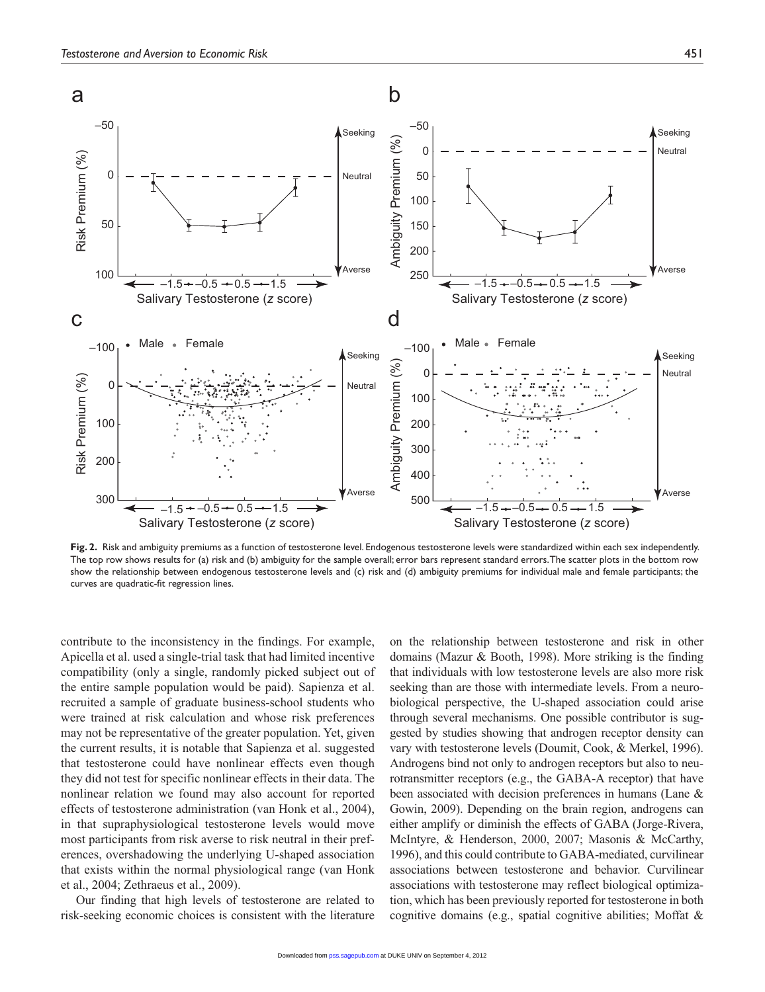

**Fig. 2.** Risk and ambiguity premiums as a function of testosterone level. Endogenous testosterone levels were standardized within each sex independently. The top row shows results for (a) risk and (b) ambiguity for the sample overall; error bars represent standard errors. The scatter plots in the bottom row show the relationship between endogenous testosterone levels and (c) risk and (d) ambiguity premiums for individual male and female participants; the curves are quadratic-fit regression lines.

contribute to the inconsistency in the findings. For example, Apicella et al. used a single-trial task that had limited incentive compatibility (only a single, randomly picked subject out of the entire sample population would be paid). Sapienza et al. recruited a sample of graduate business-school students who were trained at risk calculation and whose risk preferences may not be representative of the greater population. Yet, given the current results, it is notable that Sapienza et al. suggested that testosterone could have nonlinear effects even though they did not test for specific nonlinear effects in their data. The nonlinear relation we found may also account for reported effects of testosterone administration (van Honk et al., 2004), in that supraphysiological testosterone levels would move most participants from risk averse to risk neutral in their preferences, overshadowing the underlying U-shaped association that exists within the normal physiological range (van Honk et al., 2004; Zethraeus et al., 2009).

Our finding that high levels of testosterone are related to risk-seeking economic choices is consistent with the literature on the relationship between testosterone and risk in other domains (Mazur & Booth, 1998). More striking is the finding that individuals with low testosterone levels are also more risk seeking than are those with intermediate levels. From a neurobiological perspective, the U-shaped association could arise through several mechanisms. One possible contributor is suggested by studies showing that androgen receptor density can vary with testosterone levels (Doumit, Cook, & Merkel, 1996). Androgens bind not only to androgen receptors but also to neurotransmitter receptors (e.g., the GABA-A receptor) that have been associated with decision preferences in humans (Lane & Gowin, 2009). Depending on the brain region, androgens can either amplify or diminish the effects of GABA (Jorge-Rivera, McIntyre, & Henderson, 2000, 2007; Masonis & McCarthy, 1996), and this could contribute to GABA-mediated, curvilinear associations between testosterone and behavior. Curvilinear associations with testosterone may reflect biological optimization, which has been previously reported for testosterone in both cognitive domains (e.g., spatial cognitive abilities; Moffat &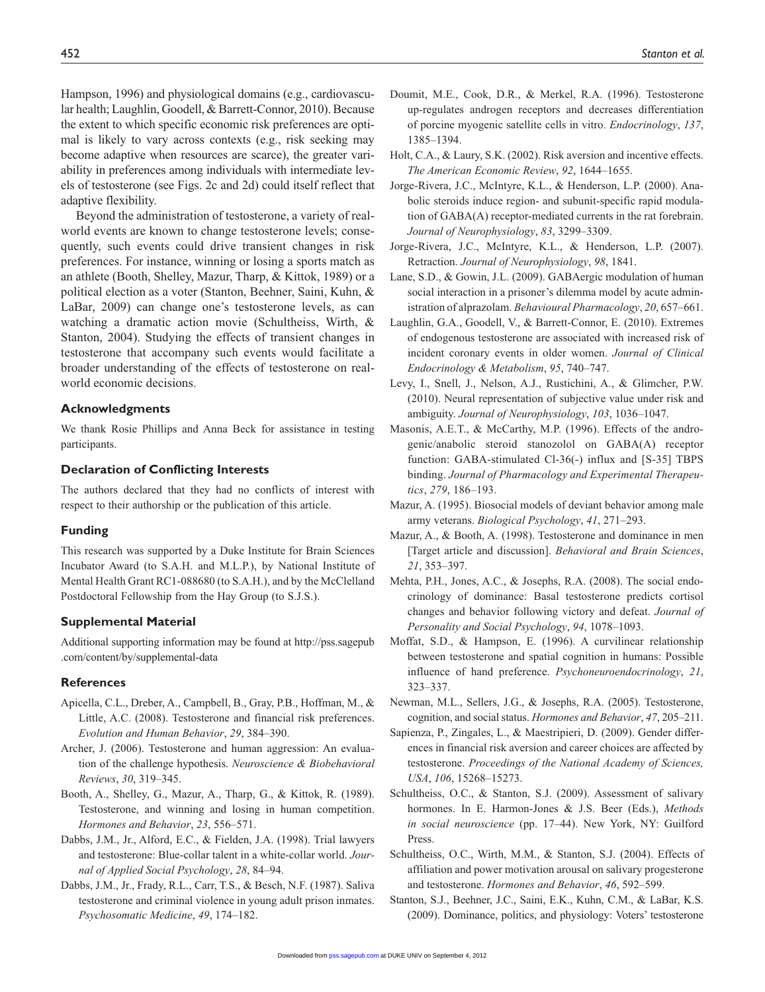Hampson, 1996) and physiological domains (e.g., cardiovascular health; Laughlin, Goodell, & Barrett-Connor, 2010). Because the extent to which specific economic risk preferences are optimal is likely to vary across contexts (e.g., risk seeking may become adaptive when resources are scarce), the greater variability in preferences among individuals with intermediate levels of testosterone (see Figs. 2c and 2d) could itself reflect that adaptive flexibility.

Beyond the administration of testosterone, a variety of realworld events are known to change testosterone levels; consequently, such events could drive transient changes in risk preferences. For instance, winning or losing a sports match as an athlete (Booth, Shelley, Mazur, Tharp, & Kittok, 1989) or a political election as a voter (Stanton, Beehner, Saini, Kuhn, & LaBar, 2009) can change one's testosterone levels, as can watching a dramatic action movie (Schultheiss, Wirth, & Stanton, 2004). Studying the effects of transient changes in testosterone that accompany such events would facilitate a broader understanding of the effects of testosterone on realworld economic decisions.

#### **Acknowledgments**

We thank Rosie Phillips and Anna Beck for assistance in testing participants.

#### **Declaration of Conflicting Interests**

The authors declared that they had no conflicts of interest with respect to their authorship or the publication of this article.

#### **Funding**

This research was supported by a Duke Institute for Brain Sciences Incubator Award (to S.A.H. and M.L.P.), by National Institute of Mental Health Grant RC1-088680 (to S.A.H.), and by the McClelland Postdoctoral Fellowship from the Hay Group (to S.J.S.).

#### **Supplemental Material**

Additional supporting information may be found at http://pss.sagepub .com/content/by/supplemental-data

#### **References**

- Apicella, C.L., Dreber, A., Campbell, B., Gray, P.B., Hoffman, M., & Little, A.C. (2008). Testosterone and financial risk preferences. *Evolution and Human Behavior*, *29*, 384–390.
- Archer, J. (2006). Testosterone and human aggression: An evaluation of the challenge hypothesis. *Neuroscience & Biobehavioral Reviews*, *30*, 319–345.
- Booth, A., Shelley, G., Mazur, A., Tharp, G., & Kittok, R. (1989). Testosterone, and winning and losing in human competition. *Hormones and Behavior*, *23*, 556–571.
- Dabbs, J.M., Jr., Alford, E.C., & Fielden, J.A. (1998). Trial lawyers and testosterone: Blue-collar talent in a white-collar world. *Journal of Applied Social Psychology*, *28*, 84–94.
- Dabbs, J.M., Jr., Frady, R.L., Carr, T.S., & Besch, N.F. (1987). Saliva testosterone and criminal violence in young adult prison inmates. *Psychosomatic Medicine*, *49*, 174–182.
- Doumit, M.E., Cook, D.R., & Merkel, R.A. (1996). Testosterone up-regulates androgen receptors and decreases differentiation of porcine myogenic satellite cells in vitro. *Endocrinology*, *137*, 1385–1394.
- Holt, C.A., & Laury, S.K. (2002). Risk aversion and incentive effects. *The American Economic Review*, *92*, 1644–1655.
- Jorge-Rivera, J.C., McIntyre, K.L., & Henderson, L.P. (2000). Anabolic steroids induce region- and subunit-specific rapid modulation of GABA(A) receptor-mediated currents in the rat forebrain. *Journal of Neurophysiology*, *83*, 3299–3309.
- Jorge-Rivera, J.C., McIntyre, K.L., & Henderson, L.P. (2007). Retraction. *Journal of Neurophysiology*, *98*, 1841.
- Lane, S.D., & Gowin, J.L. (2009). GABAergic modulation of human social interaction in a prisoner's dilemma model by acute administration of alprazolam. *Behavioural Pharmacology*, *20*, 657–661.
- Laughlin, G.A., Goodell, V., & Barrett-Connor, E. (2010). Extremes of endogenous testosterone are associated with increased risk of incident coronary events in older women. *Journal of Clinical Endocrinology & Metabolism*, *95*, 740–747.
- Levy, I., Snell, J., Nelson, A.J., Rustichini, A., & Glimcher, P.W. (2010). Neural representation of subjective value under risk and ambiguity. *Journal of Neurophysiology*, *103*, 1036–1047.
- Masonis, A.E.T., & McCarthy, M.P. (1996). Effects of the androgenic/anabolic steroid stanozolol on GABA(A) receptor function: GABA-stimulated Cl-36(-) influx and [S-35] TBPS binding. *Journal of Pharmacology and Experimental Therapeutics*, *279*, 186–193.
- Mazur, A. (1995). Biosocial models of deviant behavior among male army veterans. *Biological Psychology*, *41*, 271–293.
- Mazur, A., & Booth, A. (1998). Testosterone and dominance in men [Target article and discussion]. *Behavioral and Brain Sciences*, *21*, 353–397.
- Mehta, P.H., Jones, A.C., & Josephs, R.A. (2008). The social endocrinology of dominance: Basal testosterone predicts cortisol changes and behavior following victory and defeat. *Journal of Personality and Social Psychology*, *94*, 1078–1093.
- Moffat, S.D., & Hampson, E. (1996). A curvilinear relationship between testosterone and spatial cognition in humans: Possible influence of hand preference. *Psychoneuroendocrinology*, *21*, 323–337.
- Newman, M.L., Sellers, J.G., & Josephs, R.A. (2005). Testosterone, cognition, and social status. *Hormones and Behavior*, *47*, 205–211.
- Sapienza, P., Zingales, L., & Maestripieri, D. (2009). Gender differences in financial risk aversion and career choices are affected by testosterone. *Proceedings of the National Academy of Sciences, USA*, *106*, 15268–15273.
- Schultheiss, O.C., & Stanton, S.J. (2009). Assessment of salivary hormones. In E. Harmon-Jones & J.S. Beer (Eds.), *Methods in social neuroscience* (pp. 17–44). New York, NY: Guilford Press.
- Schultheiss, O.C., Wirth, M.M., & Stanton, S.J. (2004). Effects of affiliation and power motivation arousal on salivary progesterone and testosterone. *Hormones and Behavior*, *46*, 592–599.
- Stanton, S.J., Beehner, J.C., Saini, E.K., Kuhn, C.M., & LaBar, K.S. (2009). Dominance, politics, and physiology: Voters' testosterone